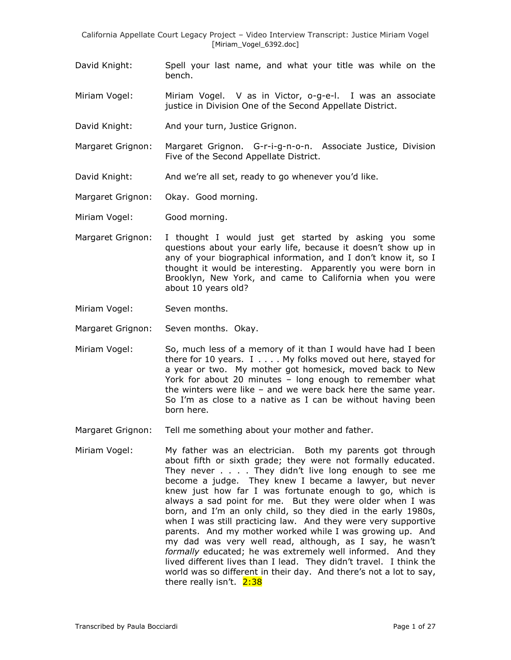- David Knight: Spell your last name, and what your title was while on the bench.
- Miriam Vogel: Miriam Vogel. V as in Victor, o-g-e-l. I was an associate justice in Division One of the Second Appellate District.
- David Knight: And your turn, Justice Grignon.
- Margaret Grignon: Margaret Grignon. G-r-i-g-n-o-n. Associate Justice, Division Five of the Second Appellate District.
- David Knight: And we're all set, ready to go whenever you'd like.
- Margaret Grignon: Okay. Good morning.
- Miriam Vogel: Good morning.
- Margaret Grignon: I thought I would just get started by asking you some questions about your early life, because it doesn't show up in any of your biographical information, and I don"t know it, so I thought it would be interesting. Apparently you were born in Brooklyn, New York, and came to California when you were about 10 years old?
- Miriam Vogel: Seven months.
- Margaret Grignon: Seven months. Okay.
- Miriam Vogel: So, much less of a memory of it than I would have had I been there for 10 years. I . . . . My folks moved out here, stayed for a year or two. My mother got homesick, moved back to New York for about 20 minutes – long enough to remember what the winters were like – and we were back here the same year. So I'm as close to a native as I can be without having been born here.
- Margaret Grignon: Tell me something about your mother and father.
- Miriam Vogel: My father was an electrician. Both my parents got through about fifth or sixth grade; they were not formally educated. They never . . . . They didn"t live long enough to see me become a judge. They knew I became a lawyer, but never knew just how far I was fortunate enough to go, which is always a sad point for me. But they were older when I was born, and I'm an only child, so they died in the early 1980s, when I was still practicing law. And they were very supportive parents. And my mother worked while I was growing up. And my dad was very well read, although, as I say, he wasn"t *formally* educated; he was extremely well informed. And they lived different lives than I lead. They didn"t travel. I think the world was so different in their day. And there"s not a lot to say, there really isn't. 2:38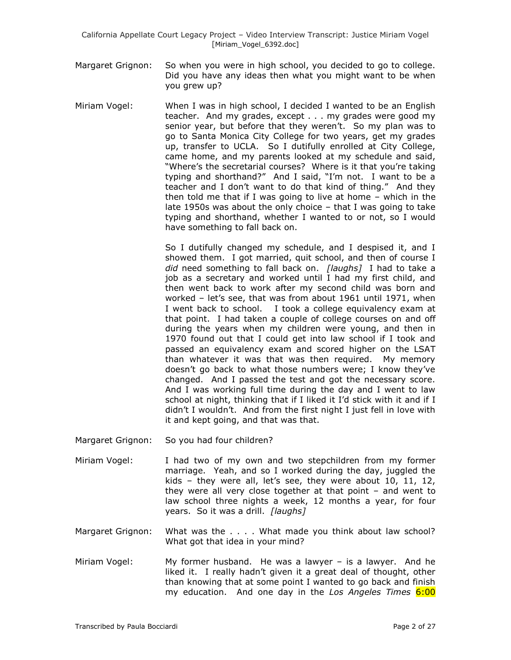- Margaret Grignon: So when you were in high school, you decided to go to college. Did you have any ideas then what you might want to be when you grew up?
- Miriam Vogel: When I was in high school, I decided I wanted to be an English teacher. And my grades, except . . . my grades were good my senior year, but before that they weren't. So my plan was to go to Santa Monica City College for two years, get my grades up, transfer to UCLA. So I dutifully enrolled at City College, came home, and my parents looked at my schedule and said, "Where's the secretarial courses? Where is it that you're taking typing and shorthand?" And I said, "I"m not. I want to be a teacher and I don"t want to do that kind of thing." And they then told me that if I was going to live at home – which in the late 1950s was about the only choice – that I was going to take typing and shorthand, whether I wanted to or not, so I would have something to fall back on.

So I dutifully changed my schedule, and I despised it, and I showed them. I got married, quit school, and then of course I *did* need something to fall back on. *[laughs]* I had to take a job as a secretary and worked until I had my first child, and then went back to work after my second child was born and worked – let"s see, that was from about 1961 until 1971, when I went back to school. I took a college equivalency exam at that point. I had taken a couple of college courses on and off during the years when my children were young, and then in 1970 found out that I could get into law school if I took and passed an equivalency exam and scored higher on the LSAT than whatever it was that was then required. My memory doesn"t go back to what those numbers were; I know they"ve changed. And I passed the test and got the necessary score. And I was working full time during the day and I went to law school at night, thinking that if I liked it I"d stick with it and if I didn"t I wouldn"t. And from the first night I just fell in love with it and kept going, and that was that.

- Margaret Grignon: So you had four children?
- Miriam Vogel: I had two of my own and two stepchildren from my former marriage. Yeah, and so I worked during the day, juggled the kids - they were all, let's see, they were about  $10$ ,  $11$ ,  $12$ , they were all very close together at that point – and went to law school three nights a week, 12 months a year, for four years. So it was a drill. *[laughs]*
- Margaret Grignon: What was the . . . . What made you think about law school? What got that idea in your mind?
- Miriam Vogel: My former husband. He was a lawyer is a lawyer. And he liked it. I really hadn't given it a great deal of thought, other than knowing that at some point I wanted to go back and finish my education. And one day in the *Los Angeles Times* 6:00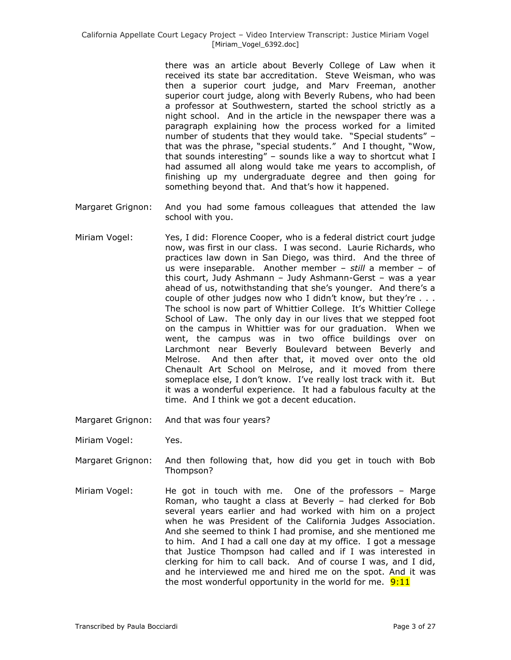there was an article about Beverly College of Law when it received its state bar accreditation. Steve Weisman, who was then a superior court judge, and Marv Freeman, another superior court judge, along with Beverly Rubens, who had been a professor at Southwestern, started the school strictly as a night school. And in the article in the newspaper there was a paragraph explaining how the process worked for a limited number of students that they would take. "Special students" – that was the phrase, "special students." And I thought, "Wow, that sounds interesting" – sounds like a way to shortcut what I had assumed all along would take me years to accomplish, of finishing up my undergraduate degree and then going for something beyond that. And that's how it happened.

- Margaret Grignon: And you had some famous colleagues that attended the law school with you.
- Miriam Vogel: Yes, I did: Florence Cooper, who is a federal district court judge now, was first in our class. I was second. Laurie Richards, who practices law down in San Diego, was third. And the three of us were inseparable. Another member – *still* a member – of this court, Judy Ashmann – Judy Ashmann-Gerst – was a year ahead of us, notwithstanding that she's younger. And there's a couple of other judges now who I didn't know, but they're . . . The school is now part of Whittier College. It's Whittier College School of Law. The only day in our lives that we stepped foot on the campus in Whittier was for our graduation. When we went, the campus was in two office buildings over on Larchmont near Beverly Boulevard between Beverly and Melrose. And then after that, it moved over onto the old Chenault Art School on Melrose, and it moved from there someplace else, I don't know. I've really lost track with it. But it was a wonderful experience. It had a fabulous faculty at the time. And I think we got a decent education.
- Margaret Grignon: And that was four years?
- Miriam Vogel: Yes.
- Margaret Grignon: And then following that, how did you get in touch with Bob Thompson?
- Miriam Vogel: He got in touch with me. One of the professors Marge Roman, who taught a class at Beverly – had clerked for Bob several years earlier and had worked with him on a project when he was President of the California Judges Association. And she seemed to think I had promise, and she mentioned me to him. And I had a call one day at my office. I got a message that Justice Thompson had called and if I was interested in clerking for him to call back. And of course I was, and I did, and he interviewed me and hired me on the spot. And it was the most wonderful opportunity in the world for me.  $9:11$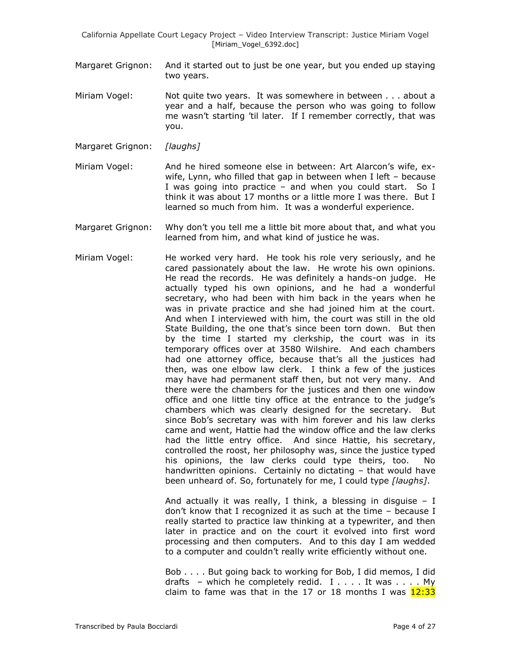- Margaret Grignon: And it started out to just be one year, but you ended up staying two years.
- Miriam Vogel: Not quite two years. It was somewhere in between . . . about a year and a half, because the person who was going to follow me wasn"t starting "til later. If I remember correctly, that was you.
- Margaret Grignon: *[laughs]*
- Miriam Vogel: And he hired someone else in between: Art Alarcon's wife, exwife, Lynn, who filled that gap in between when I left – because I was going into practice – and when you could start. So I think it was about 17 months or a little more I was there. But I learned so much from him. It was a wonderful experience.
- Margaret Grignon: Why don"t you tell me a little bit more about that, and what you learned from him, and what kind of justice he was.
- Miriam Vogel: He worked very hard. He took his role very seriously, and he cared passionately about the law. He wrote his own opinions. He read the records. He was definitely a hands-on judge. He actually typed his own opinions, and he had a wonderful secretary, who had been with him back in the years when he was in private practice and she had joined him at the court. And when I interviewed with him, the court was still in the old State Building, the one that's since been torn down. But then by the time I started my clerkship, the court was in its temporary offices over at 3580 Wilshire. And each chambers had one attorney office, because that's all the justices had then, was one elbow law clerk. I think a few of the justices may have had permanent staff then, but not very many. And there were the chambers for the justices and then one window office and one little tiny office at the entrance to the judge's chambers which was clearly designed for the secretary. But since Bob"s secretary was with him forever and his law clerks came and went, Hattie had the window office and the law clerks had the little entry office. And since Hattie, his secretary, controlled the roost, her philosophy was, since the justice typed his opinions, the law clerks could type theirs, too. No handwritten opinions. Certainly no dictating – that would have been unheard of. So, fortunately for me, I could type *[laughs]*.

And actually it was really, I think, a blessing in disquise  $- I$ don"t know that I recognized it as such at the time – because I really started to practice law thinking at a typewriter, and then later in practice and on the court it evolved into first word processing and then computers. And to this day I am wedded to a computer and couldn"t really write efficiently without one.

Bob . . . . But going back to working for Bob, I did memos, I did drafts – which he completely redid.  $I \ldots$ . It was .... My claim to fame was that in the 17 or 18 months I was  $12:33$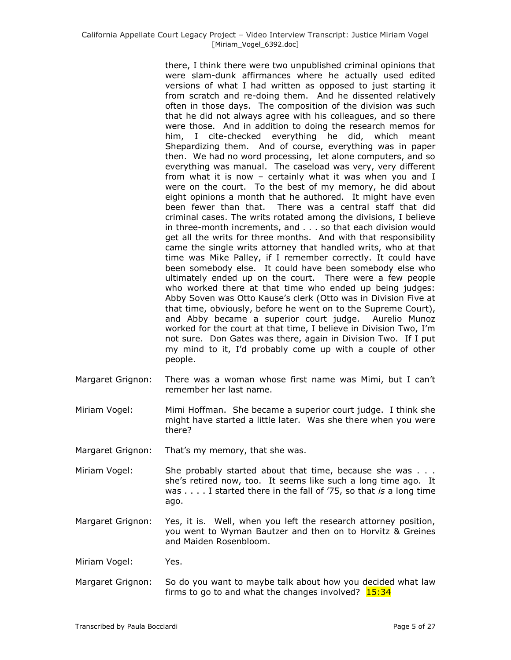there, I think there were two unpublished criminal opinions that were slam-dunk affirmances where he actually used edited versions of what I had written as opposed to just starting it from scratch and re-doing them. And he dissented relatively often in those days. The composition of the division was such that he did not always agree with his colleagues, and so there were those. And in addition to doing the research memos for him, I cite-checked everything he did, which meant Shepardizing them. And of course, everything was in paper then. We had no word processing, let alone computers, and so everything was manual. The caseload was very, very different from what it is now – certainly what it was when you and I were on the court. To the best of my memory, he did about eight opinions a month that he authored. It might have even been fewer than that. There was a central staff that did criminal cases. The writs rotated among the divisions, I believe in three-month increments, and . . . so that each division would get all the writs for three months. And with that responsibility came the single writs attorney that handled writs, who at that time was Mike Palley, if I remember correctly. It could have been somebody else. It could have been somebody else who ultimately ended up on the court. There were a few people who worked there at that time who ended up being judges: Abby Soven was Otto Kause's clerk (Otto was in Division Five at that time, obviously, before he went on to the Supreme Court), and Abby became a superior court judge. Aurelio Munoz worked for the court at that time, I believe in Division Two, I"m not sure. Don Gates was there, again in Division Two. If I put my mind to it, I"d probably come up with a couple of other people.

- Margaret Grignon: There was a woman whose first name was Mimi, but I can"t remember her last name.
- Miriam Vogel: Mimi Hoffman. She became a superior court judge. I think she might have started a little later. Was she there when you were there?

Margaret Grignon: That's my memory, that she was.

- Miriam Vogel: She probably started about that time, because she was . . . she's retired now, too. It seems like such a long time ago. It was . . . . I started there in the fall of "75, so that *is* a long time ago.
- Margaret Grignon: Yes, it is. Well, when you left the research attorney position, you went to Wyman Bautzer and then on to Horvitz & Greines and Maiden Rosenbloom.

Miriam Vogel: Yes.

Margaret Grignon: So do you want to maybe talk about how you decided what law firms to go to and what the changes involved?  $15:34$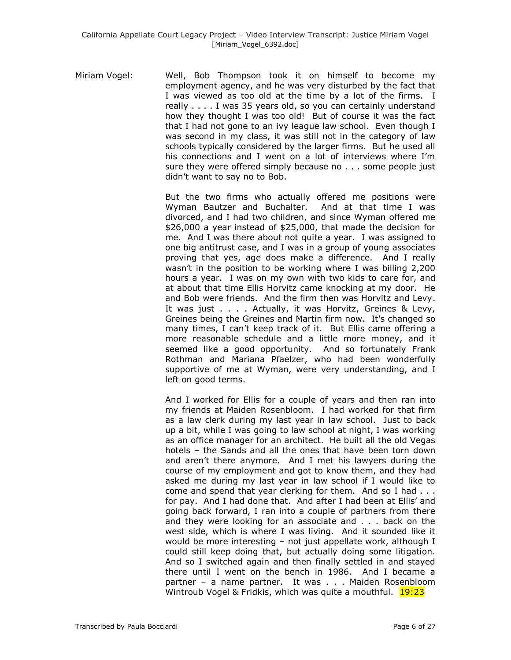Miriam Vogel: Well, Bob Thompson took it on himself to become my employment agency, and he was very disturbed by the fact that I was viewed as too old at the time by a lot of the firms. I really . . . . I was 35 years old, so you can certainly understand how they thought I was too old! But of course it was the fact that I had not gone to an ivy league law school. Even though I was second in my class, it was still not in the category of law schools typically considered by the larger firms. But he used all his connections and I went on a lot of interviews where I"m sure they were offered simply because no . . . some people just didn"t want to say no to Bob.

> But the two firms who actually offered me positions were Wyman Bautzer and Buchalter. And at that time I was divorced, and I had two children, and since Wyman offered me \$26,000 a year instead of \$25,000, that made the decision for me. And I was there about not quite a year. I was assigned to one big antitrust case, and I was in a group of young associates proving that yes, age does make a difference. And I really wasn"t in the position to be working where I was billing 2,200 hours a year. I was on my own with two kids to care for, and at about that time Ellis Horvitz came knocking at my door. He and Bob were friends. And the firm then was Horvitz and Levy. It was just . . . . Actually, it was Horvitz, Greines & Levy, Greines being the Greines and Martin firm now. It's changed so many times, I can"t keep track of it. But Ellis came offering a more reasonable schedule and a little more money, and it seemed like a good opportunity. And so fortunately Frank Rothman and Mariana Pfaelzer, who had been wonderfully supportive of me at Wyman, were very understanding, and I left on good terms.

> And I worked for Ellis for a couple of years and then ran into my friends at Maiden Rosenbloom. I had worked for that firm as a law clerk during my last year in law school. Just to back up a bit, while I was going to law school at night, I was working as an office manager for an architect. He built all the old Vegas hotels – the Sands and all the ones that have been torn down and aren't there anymore. And I met his lawyers during the course of my employment and got to know them, and they had asked me during my last year in law school if I would like to come and spend that year clerking for them. And so I had . . . for pay. And I had done that. And after I had been at Ellis" and going back forward, I ran into a couple of partners from there and they were looking for an associate and . . . back on the west side, which is where I was living. And it sounded like it would be more interesting – not just appellate work, although I could still keep doing that, but actually doing some litigation. And so I switched again and then finally settled in and stayed there until I went on the bench in 1986. And I became a partner – a name partner. It was . . . Maiden Rosenbloom Wintroub Vogel & Fridkis, which was quite a mouthful. 19:23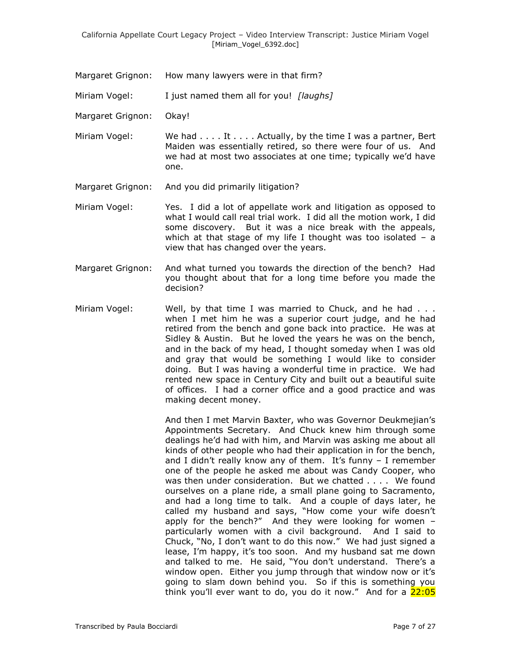Margaret Grignon: How many lawyers were in that firm?

Miriam Vogel: I just named them all for you! *[laughs]*

Margaret Grignon: Okay!

Miriam Vogel: We had . . . . It . . . . Actually, by the time I was a partner, Bert Maiden was essentially retired, so there were four of us. And we had at most two associates at one time; typically we'd have one.

Margaret Grignon: And you did primarily litigation?

Miriam Vogel: Yes. I did a lot of appellate work and litigation as opposed to what I would call real trial work. I did all the motion work, I did some discovery. But it was a nice break with the appeals, which at that stage of my life I thought was too isolated  $-$  a view that has changed over the years.

- Margaret Grignon: And what turned you towards the direction of the bench? Had you thought about that for a long time before you made the decision?
- Miriam Vogel: Well, by that time I was married to Chuck, and he had . . . when I met him he was a superior court judge, and he had retired from the bench and gone back into practice. He was at Sidley & Austin. But he loved the years he was on the bench, and in the back of my head, I thought someday when I was old and gray that would be something I would like to consider doing. But I was having a wonderful time in practice. We had rented new space in Century City and built out a beautiful suite of offices. I had a corner office and a good practice and was making decent money.

And then I met Marvin Baxter, who was Governor Deukmejian"s Appointments Secretary. And Chuck knew him through some dealings he'd had with him, and Marvin was asking me about all kinds of other people who had their application in for the bench, and I didn't really know any of them. It's funny  $-$  I remember one of the people he asked me about was Candy Cooper, who was then under consideration. But we chatted . . . . We found ourselves on a plane ride, a small plane going to Sacramento, and had a long time to talk. And a couple of days later, he called my husband and says, "How come your wife doesn't apply for the bench?" And they were looking for women – particularly women with a civil background. And I said to Chuck, "No, I don"t want to do this now." We had just signed a lease, I'm happy, it's too soon. And my husband sat me down and talked to me. He said, "You don't understand. There's a window open. Either you jump through that window now or it's going to slam down behind you. So if this is something you think you'll ever want to do, you do it now." And for a  $22:05$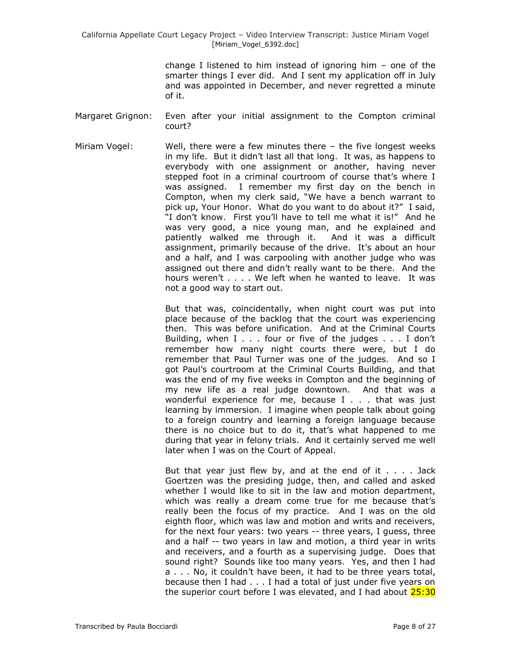change I listened to him instead of ignoring him – one of the smarter things I ever did. And I sent my application off in July and was appointed in December, and never regretted a minute of it.

- Margaret Grignon: Even after your initial assignment to the Compton criminal court?
- Miriam Vogel: Well, there were a few minutes there the five longest weeks in my life. But it didn"t last all that long. It was, as happens to everybody with one assignment or another, having never stepped foot in a criminal courtroom of course that's where I was assigned. I remember my first day on the bench in Compton, when my clerk said, "We have a bench warrant to pick up, Your Honor. What do you want to do about it?" I said, "I don"t know. First you"ll have to tell me what it is!" And he was very good, a nice young man, and he explained and patiently walked me through it. And it was a difficult assignment, primarily because of the drive. It's about an hour and a half, and I was carpooling with another judge who was assigned out there and didn"t really want to be there. And the hours weren't . . . . We left when he wanted to leave. It was not a good way to start out.

But that was, coincidentally, when night court was put into place because of the backlog that the court was experiencing then. This was before unification. And at the Criminal Courts Building, when I . . . four or five of the judges . . . I don't remember how many night courts there were, but I do remember that Paul Turner was one of the judges. And so I got Paul"s courtroom at the Criminal Courts Building, and that was the end of my five weeks in Compton and the beginning of my new life as a real judge downtown. And that was a wonderful experience for me, because I . . . that was just learning by immersion. I imagine when people talk about going to a foreign country and learning a foreign language because there is no choice but to do it, that"s what happened to me during that year in felony trials. And it certainly served me well later when I was on the Court of Appeal.

But that year just flew by, and at the end of it  $\ldots$  . Jack Goertzen was the presiding judge, then, and called and asked whether I would like to sit in the law and motion department, which was really a dream come true for me because that's really been the focus of my practice. And I was on the old eighth floor, which was law and motion and writs and receivers, for the next four years: two years -- three years, I guess, three and a half -- two years in law and motion, a third year in writs and receivers, and a fourth as a supervising judge. Does that sound right? Sounds like too many years. Yes, and then I had a . . . No, it couldn"t have been, it had to be three years total, because then I had . . . I had a total of just under five years on the superior court before I was elevated, and I had about 25:30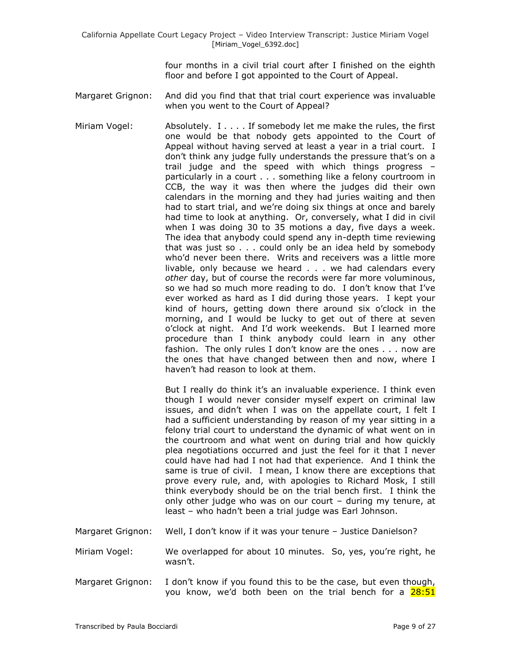four months in a civil trial court after I finished on the eighth floor and before I got appointed to the Court of Appeal.

- Margaret Grignon: And did you find that that trial court experience was invaluable when you went to the Court of Appeal?
- Miriam Vogel: Absolutely. I . . . . If somebody let me make the rules, the first one would be that nobody gets appointed to the Court of Appeal without having served at least a year in a trial court. I don"t think any judge fully understands the pressure that"s on a trail judge and the speed with which things progress – particularly in a court . . . something like a felony courtroom in CCB, the way it was then where the judges did their own calendars in the morning and they had juries waiting and then had to start trial, and we"re doing six things at once and barely had time to look at anything. Or, conversely, what I did in civil when I was doing 30 to 35 motions a day, five days a week. The idea that anybody could spend any in-depth time reviewing that was just so . . . could only be an idea held by somebody who"d never been there. Writs and receivers was a little more livable, only because we heard . . . we had calendars every *other* day, but of course the records were far more voluminous, so we had so much more reading to do. I don"t know that I"ve ever worked as hard as I did during those years. I kept your kind of hours, getting down there around six o"clock in the morning, and I would be lucky to get out of there at seven o"clock at night. And I"d work weekends. But I learned more procedure than I think anybody could learn in any other fashion. The only rules I don't know are the ones . . . now are the ones that have changed between then and now, where I haven"t had reason to look at them.

But I really do think it's an invaluable experience. I think even though I would never consider myself expert on criminal law issues, and didn"t when I was on the appellate court, I felt I had a sufficient understanding by reason of my year sitting in a felony trial court to understand the dynamic of what went on in the courtroom and what went on during trial and how quickly plea negotiations occurred and just the feel for it that I never could have had had I not had that experience. And I think the same is true of civil. I mean, I know there are exceptions that prove every rule, and, with apologies to Richard Mosk, I still think everybody should be on the trial bench first. I think the only other judge who was on our court – during my tenure, at least – who hadn"t been a trial judge was Earl Johnson.

- Margaret Grignon: Well, I don't know if it was your tenure Justice Danielson?
- Miriam Vogel: We overlapped for about 10 minutes. So, yes, you"re right, he wasn"t.
- Margaret Grignon: I don't know if you found this to be the case, but even though, you know, we'd both been on the trial bench for a 28:51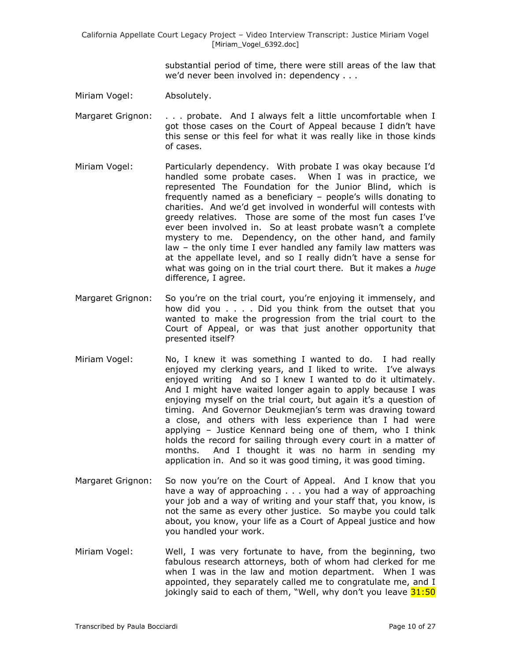substantial period of time, there were still areas of the law that we"d never been involved in: dependency . . .

- Miriam Vogel: Absolutely.
- Margaret Grignon: . . . . probate. And I always felt a little uncomfortable when I got those cases on the Court of Appeal because I didn"t have this sense or this feel for what it was really like in those kinds of cases.
- Miriam Vogel: Particularly dependency. With probate I was okay because I"d handled some probate cases. When I was in practice, we represented The Foundation for the Junior Blind, which is frequently named as a beneficiary - people's wills donating to charities. And we"d get involved in wonderful will contests with greedy relatives. Those are some of the most fun cases I"ve ever been involved in. So at least probate wasn't a complete mystery to me. Dependency, on the other hand, and family law – the only time I ever handled any family law matters was at the appellate level, and so I really didn"t have a sense for what was going on in the trial court there. But it makes a *huge* difference, I agree.
- Margaret Grignon: So you're on the trial court, you're enjoying it immensely, and how did you . . . . Did you think from the outset that you wanted to make the progression from the trial court to the Court of Appeal, or was that just another opportunity that presented itself?
- Miriam Vogel: No, I knew it was something I wanted to do. I had really enjoyed my clerking years, and I liked to write. I've always enjoyed writing And so I knew I wanted to do it ultimately. And I might have waited longer again to apply because I was enjoying myself on the trial court, but again it's a question of timing. And Governor Deukmejian's term was drawing toward a close, and others with less experience than I had were applying – Justice Kennard being one of them, who I think holds the record for sailing through every court in a matter of months. And I thought it was no harm in sending my application in. And so it was good timing, it was good timing.
- Margaret Grignon: So now you're on the Court of Appeal. And I know that you have a way of approaching . . . you had a way of approaching your job and a way of writing and your staff that, you know, is not the same as every other justice. So maybe you could talk about, you know, your life as a Court of Appeal justice and how you handled your work.
- Miriam Vogel: Well, I was very fortunate to have, from the beginning, two fabulous research attorneys, both of whom had clerked for me when I was in the law and motion department. When I was appointed, they separately called me to congratulate me, and I jokingly said to each of them, "Well, why don't you leave  $31:50$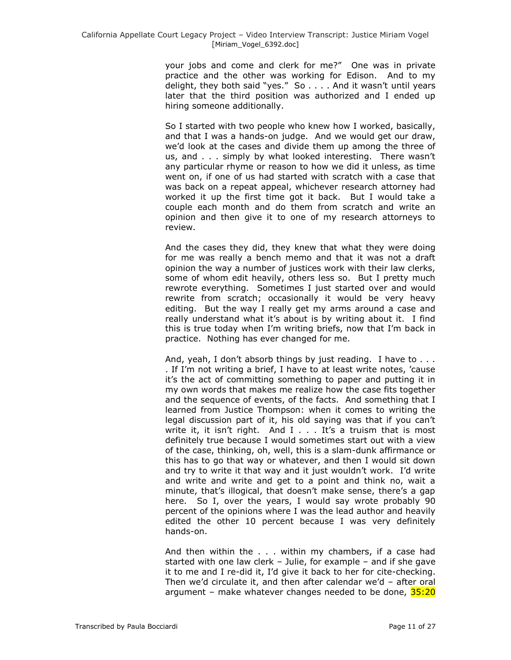your jobs and come and clerk for me?" One was in private practice and the other was working for Edison. And to my delight, they both said "yes." So . . . . And it wasn"t until years later that the third position was authorized and I ended up hiring someone additionally.

So I started with two people who knew how I worked, basically, and that I was a hands-on judge. And we would get our draw, we"d look at the cases and divide them up among the three of us, and . . . simply by what looked interesting. There wasn't any particular rhyme or reason to how we did it unless, as time went on, if one of us had started with scratch with a case that was back on a repeat appeal, whichever research attorney had worked it up the first time got it back. But I would take a couple each month and do them from scratch and write an opinion and then give it to one of my research attorneys to review.

And the cases they did, they knew that what they were doing for me was really a bench memo and that it was not a draft opinion the way a number of justices work with their law clerks, some of whom edit heavily, others less so. But I pretty much rewrote everything. Sometimes I just started over and would rewrite from scratch; occasionally it would be very heavy editing. But the way I really get my arms around a case and really understand what it"s about is by writing about it. I find this is true today when I"m writing briefs, now that I"m back in practice. Nothing has ever changed for me.

And, yeah, I don't absorb things by just reading. I have to ... . If I"m not writing a brief, I have to at least write notes, "cause it"s the act of committing something to paper and putting it in my own words that makes me realize how the case fits together and the sequence of events, of the facts. And something that I learned from Justice Thompson: when it comes to writing the legal discussion part of it, his old saying was that if you can't write it, it isn't right. And  $I \ldots$  It's a truism that is most definitely true because I would sometimes start out with a view of the case, thinking, oh, well, this is a slam-dunk affirmance or this has to go that way or whatever, and then I would sit down and try to write it that way and it just wouldn"t work. I"d write and write and write and get to a point and think no, wait a minute, that's illogical, that doesn't make sense, there's a gap here. So I, over the years, I would say wrote probably 90 percent of the opinions where I was the lead author and heavily edited the other 10 percent because I was very definitely hands-on.

And then within the . . . within my chambers, if a case had started with one law clerk – Julie, for example – and if she gave it to me and I re-did it, I"d give it back to her for cite-checking. Then we'd circulate it, and then after calendar we'd  $-$  after oral argument – make whatever changes needed to be done, 35:20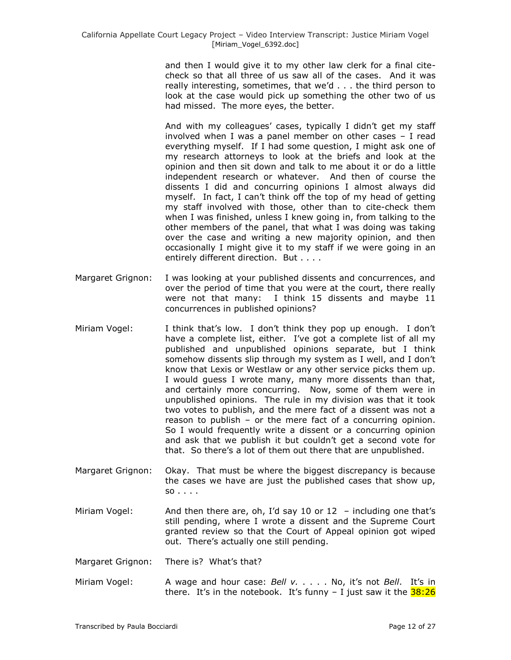and then I would give it to my other law clerk for a final citecheck so that all three of us saw all of the cases. And it was really interesting, sometimes, that we"d . . . the third person to look at the case would pick up something the other two of us had missed. The more eyes, the better.

And with my colleagues' cases, typically I didn't get my staff involved when I was a panel member on other cases – I read everything myself. If I had some question, I might ask one of my research attorneys to look at the briefs and look at the opinion and then sit down and talk to me about it or do a little independent research or whatever. And then of course the dissents I did and concurring opinions I almost always did myself. In fact, I can't think off the top of my head of getting my staff involved with those, other than to cite-check them when I was finished, unless I knew going in, from talking to the other members of the panel, that what I was doing was taking over the case and writing a new majority opinion, and then occasionally I might give it to my staff if we were going in an entirely different direction. But . . . .

- Margaret Grignon: I was looking at your published dissents and concurrences, and over the period of time that you were at the court, there really were not that many: I think 15 dissents and maybe 11 concurrences in published opinions?
- Miriam Vogel: I think that"s low. I don"t think they pop up enough. I don"t have a complete list, either. I've got a complete list of all my published and unpublished opinions separate, but I think somehow dissents slip through my system as I well, and I don't know that Lexis or Westlaw or any other service picks them up. I would guess I wrote many, many more dissents than that, and certainly more concurring. Now, some of them were in unpublished opinions. The rule in my division was that it took two votes to publish, and the mere fact of a dissent was not a reason to publish – or the mere fact of a concurring opinion. So I would frequently write a dissent or a concurring opinion and ask that we publish it but couldn"t get a second vote for that. So there's a lot of them out there that are unpublished.
- Margaret Grignon: Okay. That must be where the biggest discrepancy is because the cases we have are just the published cases that show up, so . . . .
- Miriam Vogel: And then there are, oh, I'd say 10 or 12 including one that's still pending, where I wrote a dissent and the Supreme Court granted review so that the Court of Appeal opinion got wiped out. There"s actually one still pending.
- Margaret Grignon: There is? What's that?
- Miriam Vogel: A wage and hour case: *Bell v.* . . . . No, it"s not *Bell*. It"s in there. It's in the notebook. It's funny  $-$  I just saw it the  $38:26$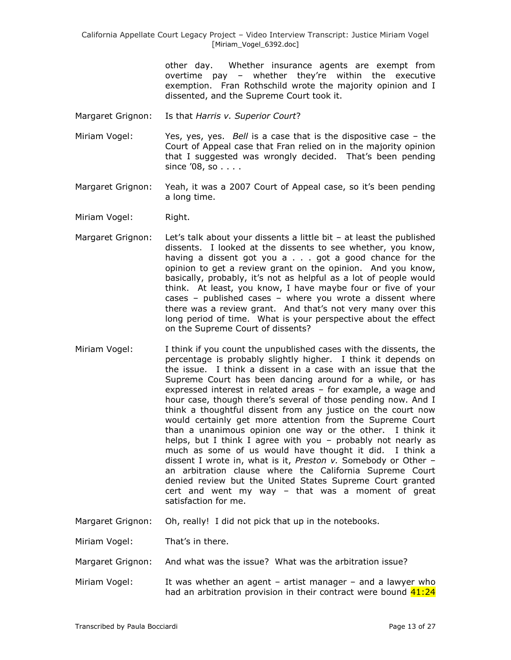> other day. Whether insurance agents are exempt from overtime pay – whether they"re within the executive exemption. Fran Rothschild wrote the majority opinion and I dissented, and the Supreme Court took it.

- Margaret Grignon: Is that *Harris v. Superior Court*?
- Miriam Vogel: Yes, yes, yes. *Bell* is a case that is the dispositive case the Court of Appeal case that Fran relied on in the majority opinion that I suggested was wrongly decided. That"s been pending since "08, so . . . .
- Margaret Grignon: Yeah, it was a 2007 Court of Appeal case, so it's been pending a long time.
- Miriam Vogel: Right.
- Margaret Grignon: Let's talk about your dissents a little bit at least the published dissents. I looked at the dissents to see whether, you know, having a dissent got you a . . . got a good chance for the opinion to get a review grant on the opinion. And you know, basically, probably, it's not as helpful as a lot of people would think. At least, you know, I have maybe four or five of your cases – published cases – where you wrote a dissent where there was a review grant. And that"s not very many over this long period of time. What is your perspective about the effect on the Supreme Court of dissents?
- Miriam Vogel: I think if you count the unpublished cases with the dissents, the percentage is probably slightly higher. I think it depends on the issue. I think a dissent in a case with an issue that the Supreme Court has been dancing around for a while, or has expressed interest in related areas – for example, a wage and hour case, though there"s several of those pending now. And I think a thoughtful dissent from any justice on the court now would certainly get more attention from the Supreme Court than a unanimous opinion one way or the other. I think it helps, but I think I agree with you - probably not nearly as much as some of us would have thought it did. I think a dissent I wrote in, what is it, *Preston v.* Somebody or Other – an arbitration clause where the California Supreme Court denied review but the United States Supreme Court granted cert and went my way – that was a moment of great satisfaction for me.
- Margaret Grignon: Oh, really! I did not pick that up in the notebooks.

Miriam Vogel: That's in there.

- Margaret Grignon: And what was the issue? What was the arbitration issue?
- Miriam Vogel: It was whether an agent artist manager and a lawyer who had an arbitration provision in their contract were bound  $41:24$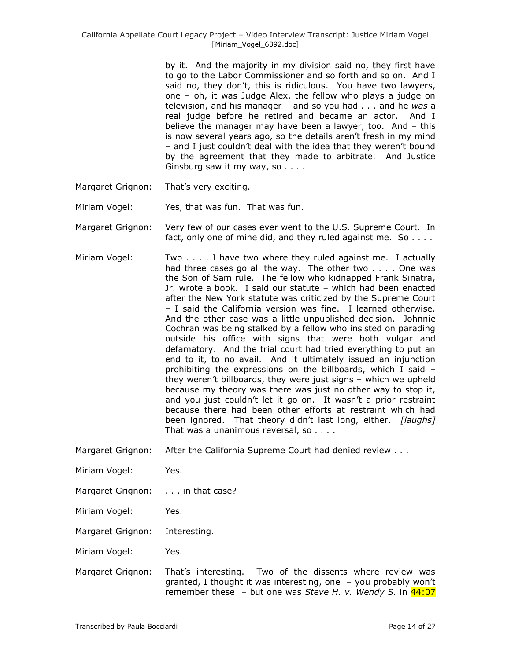by it. And the majority in my division said no, they first have to go to the Labor Commissioner and so forth and so on. And I said no, they don't, this is ridiculous. You have two lawyers, one – oh, it was Judge Alex, the fellow who plays a judge on television, and his manager – and so you had . . . and he *was* a real judge before he retired and became an actor. And I believe the manager may have been a lawyer, too. And – this is now several years ago, so the details aren"t fresh in my mind – and I just couldn"t deal with the idea that they weren"t bound by the agreement that they made to arbitrate. And Justice Ginsburg saw it my way, so . . . .

Margaret Grignon: That's very exciting.

Miriam Vogel: Yes, that was fun. That was fun.

Margaret Grignon: Very few of our cases ever went to the U.S. Supreme Court. In fact, only one of mine did, and they ruled against me. So . . . .

- Miriam Vogel: Two . . . . I have two where they ruled against me. I actually had three cases go all the way. The other two . . . . One was the Son of Sam rule. The fellow who kidnapped Frank Sinatra, Jr. wrote a book. I said our statute – which had been enacted after the New York statute was criticized by the Supreme Court – I said the California version was fine. I learned otherwise. And the other case was a little unpublished decision. Johnnie Cochran was being stalked by a fellow who insisted on parading outside his office with signs that were both vulgar and defamatory. And the trial court had tried everything to put an end to it, to no avail. And it ultimately issued an injunction prohibiting the expressions on the billboards, which I said – they weren"t billboards, they were just signs – which we upheld because my theory was there was just no other way to stop it, and you just couldn't let it go on. It wasn't a prior restraint because there had been other efforts at restraint which had been ignored. That theory didn"t last long, either. *[laughs]* That was a unanimous reversal, so . . . .
- Margaret Grignon: After the California Supreme Court had denied review . . .
- Miriam Vogel: Yes.
- Margaret Grignon: . . . in that case?
- Miriam Vogel: Yes.

Margaret Grignon: Interesting.

Miriam Vogel: Yes.

Margaret Grignon: That"s interesting. Two of the dissents where review was granted, I thought it was interesting, one – you probably won"t remember these – but one was *Steve H. v. Wendy S.* in 44:07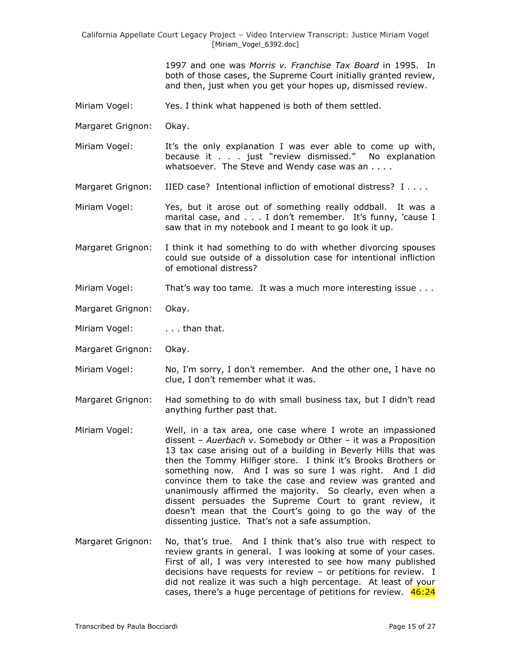1997 and one was *Morris v. Franchise Tax Board* in 1995. In both of those cases, the Supreme Court initially granted review, and then, just when you get your hopes up, dismissed review.

- Miriam Vogel: Yes. I think what happened is both of them settled.
- Margaret Grignon: Okay.
- Miriam Vogel: It's the only explanation I was ever able to come up with, because it . . . just "review dismissed." No explanation whatsoever. The Steve and Wendy case was an . . . .
- Margaret Grignon: IIED case? Intentional infliction of emotional distress? I . . . .
- Miriam Vogel: Yes, but it arose out of something really oddball. It was a marital case, and . . . I don't remember. It's funny, 'cause I saw that in my notebook and I meant to go look it up.
- Margaret Grignon: I think it had something to do with whether divorcing spouses could sue outside of a dissolution case for intentional infliction of emotional distress?
- Miriam Vogel: That's way too tame. It was a much more interesting issue . . .
- Margaret Grignon: Okay.
- Miriam Vogel: . . . . than that.
- Margaret Grignon: Okay.
- Miriam Vogel: No, I"m sorry, I don"t remember. And the other one, I have no clue, I don"t remember what it was.
- Margaret Grignon: Had something to do with small business tax, but I didn"t read anything further past that.
- Miriam Vogel: Well, in a tax area, one case where I wrote an impassioned dissent – *Auerbach* v. Somebody or Other – it was a Proposition 13 tax case arising out of a building in Beverly Hills that was then the Tommy Hilfiger store. I think it's Brooks Brothers or something now. And I was so sure I was right. And I did convince them to take the case and review was granted and unanimously affirmed the majority. So clearly, even when a dissent persuades the Supreme Court to grant review, it doesn't mean that the Court's going to go the way of the dissenting justice. That's not a safe assumption.
- Margaret Grignon: No, that"s true. And I think that"s also true with respect to review grants in general. I was looking at some of your cases. First of all, I was very interested to see how many published decisions have requests for review – or petitions for review. I did not realize it was such a high percentage. At least of your cases, there's a huge percentage of petitions for review.  $46:24$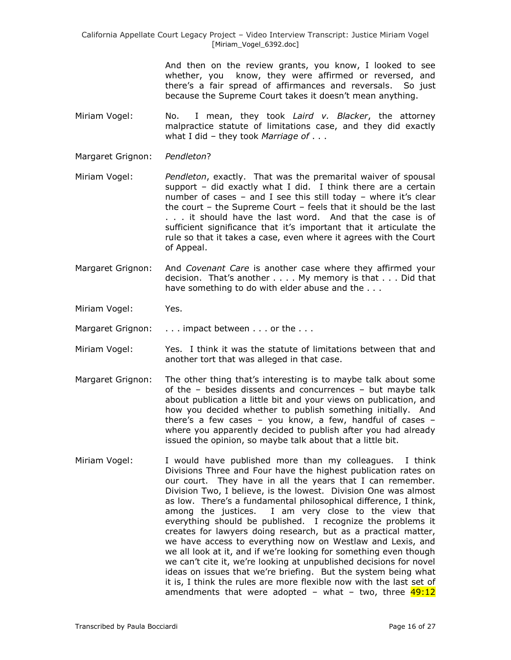> And then on the review grants, you know, I looked to see whether, you know, they were affirmed or reversed, and there"s a fair spread of affirmances and reversals. So just because the Supreme Court takes it doesn't mean anything.

- Miriam Vogel: No. I mean, they took *Laird v. Blacker*, the attorney malpractice statute of limitations case, and they did exactly what I did – they took *Marriage of* . . .
- Margaret Grignon: *Pendleton*?
- Miriam Vogel: *Pendleton*, exactly. That was the premarital waiver of spousal support – did exactly what I did. I think there are a certain number of cases  $-$  and I see this still today  $-$  where it's clear the court – the Supreme Court – feels that it should be the last . . . it should have the last word. And that the case is of sufficient significance that it's important that it articulate the rule so that it takes a case, even where it agrees with the Court of Appeal.
- Margaret Grignon: And *Covenant Care* is another case where they affirmed your decision. That's another . . . . My memory is that . . . Did that have something to do with elder abuse and the . . .
- Miriam Vogel: Yes.
- Margaret Grignon: . . . impact between . . . or the . . .
- Miriam Vogel: Yes. I think it was the statute of limitations between that and another tort that was alleged in that case.
- Margaret Grignon: The other thing that"s interesting is to maybe talk about some of the – besides dissents and concurrences – but maybe talk about publication a little bit and your views on publication, and how you decided whether to publish something initially. And there's a few cases – you know, a few, handful of cases – where you apparently decided to publish after you had already issued the opinion, so maybe talk about that a little bit.
- Miriam Vogel: I would have published more than my colleagues. I think Divisions Three and Four have the highest publication rates on our court. They have in all the years that I can remember. Division Two, I believe, is the lowest. Division One was almost as low. There"s a fundamental philosophical difference, I think, among the justices. I am very close to the view that everything should be published. I recognize the problems it creates for lawyers doing research, but as a practical matter, we have access to everything now on Westlaw and Lexis, and we all look at it, and if we"re looking for something even though we can't cite it, we're looking at unpublished decisions for novel ideas on issues that we"re briefing. But the system being what it is, I think the rules are more flexible now with the last set of amendments that were adopted – what – two, three  $49:12$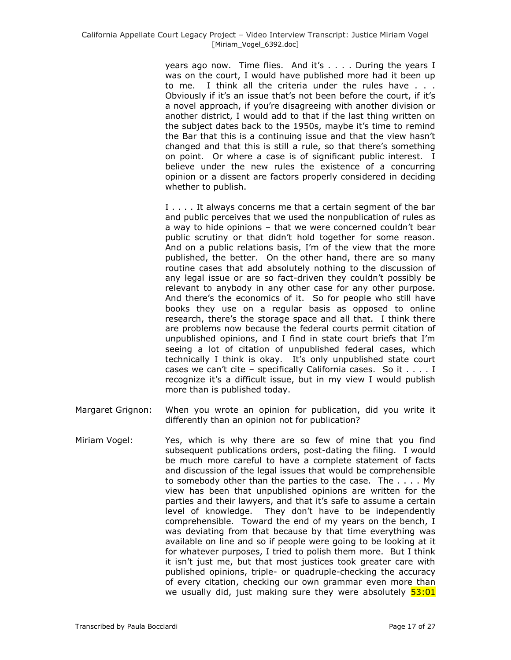years ago now. Time flies. And it's . . . . During the years I was on the court, I would have published more had it been up to me. I think all the criteria under the rules have . . . Obviously if it's an issue that's not been before the court, if it's a novel approach, if you"re disagreeing with another division or another district, I would add to that if the last thing written on the subject dates back to the 1950s, maybe it's time to remind the Bar that this is a continuing issue and that the view hasn"t changed and that this is still a rule, so that there"s something on point. Or where a case is of significant public interest. I believe under the new rules the existence of a concurring opinion or a dissent are factors properly considered in deciding whether to publish.

I . . . . It always concerns me that a certain segment of the bar and public perceives that we used the nonpublication of rules as a way to hide opinions – that we were concerned couldn"t bear public scrutiny or that didn"t hold together for some reason. And on a public relations basis, I'm of the view that the more published, the better. On the other hand, there are so many routine cases that add absolutely nothing to the discussion of any legal issue or are so fact-driven they couldn"t possibly be relevant to anybody in any other case for any other purpose. And there's the economics of it. So for people who still have books they use on a regular basis as opposed to online research, there"s the storage space and all that. I think there are problems now because the federal courts permit citation of unpublished opinions, and I find in state court briefs that I"m seeing a lot of citation of unpublished federal cases, which technically I think is okay. It's only unpublished state court cases we can't cite – specifically California cases. So it  $\dots$ . I recognize it's a difficult issue, but in my view I would publish more than is published today.

- Margaret Grignon: When you wrote an opinion for publication, did you write it differently than an opinion not for publication?
- Miriam Vogel: Yes, which is why there are so few of mine that you find subsequent publications orders, post-dating the filing. I would be much more careful to have a complete statement of facts and discussion of the legal issues that would be comprehensible to somebody other than the parties to the case. The . . . . My view has been that unpublished opinions are written for the parties and their lawyers, and that it"s safe to assume a certain level of knowledge. They don"t have to be independently comprehensible. Toward the end of my years on the bench, I was deviating from that because by that time everything was available on line and so if people were going to be looking at it for whatever purposes, I tried to polish them more. But I think it isn't just me, but that most justices took greater care with published opinions, triple- or quadruple-checking the accuracy of every citation, checking our own grammar even more than we usually did, just making sure they were absolutely  $53:01$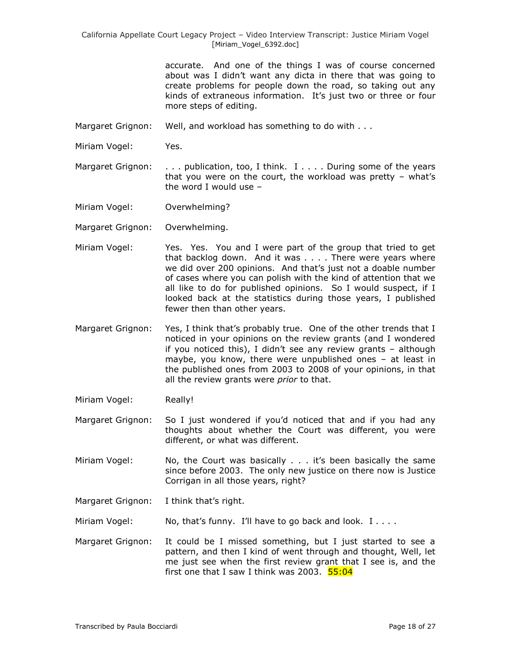> accurate. And one of the things I was of course concerned about was I didn"t want any dicta in there that was going to create problems for people down the road, so taking out any kinds of extraneous information. It's just two or three or four more steps of editing.

- Margaret Grignon: Well, and workload has something to do with . . .
- Miriam Vogel: Yes.
- Margaret Grignon: . . . publication, too, I think. I . . . . During some of the years that you were on the court, the workload was pretty  $-$  what's the word I would use –
- Miriam Vogel: Overwhelming?
- Margaret Grignon: Overwhelming.
- Miriam Vogel: Yes. Yes. You and I were part of the group that tried to get that backlog down. And it was . . . . There were years where we did over 200 opinions. And that's just not a doable number of cases where you can polish with the kind of attention that we all like to do for published opinions. So I would suspect, if I looked back at the statistics during those years, I published fewer then than other years.
- Margaret Grignon: Yes, I think that's probably true. One of the other trends that I noticed in your opinions on the review grants (and I wondered if you noticed this), I didn"t see any review grants – although maybe, you know, there were unpublished ones – at least in the published ones from 2003 to 2008 of your opinions, in that all the review grants were *prior* to that.
- Miriam Vogel: Really!
- Margaret Grignon: So I just wondered if you"d noticed that and if you had any thoughts about whether the Court was different, you were different, or what was different.
- Miriam Vogel: No, the Court was basically . . . it"s been basically the same since before 2003. The only new justice on there now is Justice Corrigan in all those years, right?
- Margaret Grignon: I think that's right.
- Miriam Vogel: No, that's funny. I'll have to go back and look. I . . . .
- Margaret Grignon: It could be I missed something, but I just started to see a pattern, and then I kind of went through and thought, Well, let me just see when the first review grant that I see is, and the first one that I saw I think was 2003.  $55:04$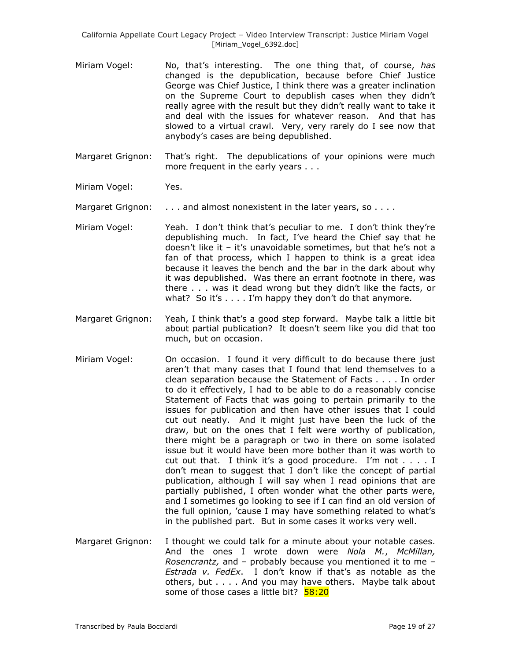- Miriam Vogel: No, that"s interesting. The one thing that, of course, *has* changed is the depublication, because before Chief Justice George was Chief Justice, I think there was a greater inclination on the Supreme Court to depublish cases when they didn"t really agree with the result but they didn"t really want to take it and deal with the issues for whatever reason. And that has slowed to a virtual crawl. Very, very rarely do I see now that anybody"s cases are being depublished.
- Margaret Grignon: That"s right. The depublications of your opinions were much more frequent in the early years . . .
- Miriam Vogel: Yes.

Margaret Grignon: . . . . and almost nonexistent in the later years, so . . . .

- Miriam Vogel: Yeah. I don't think that's peculiar to me. I don't think they're depublishing much. In fact, I"ve heard the Chief say that he doesn't like it  $-$  it's unavoidable sometimes, but that he's not a fan of that process, which I happen to think is a great idea because it leaves the bench and the bar in the dark about why it was depublished. Was there an errant footnote in there, was there . . . was it dead wrong but they didn"t like the facts, or what? So it's  $\dots$  I'm happy they don't do that anymore.
- Margaret Grignon: Yeah, I think that"s a good step forward. Maybe talk a little bit about partial publication? It doesn"t seem like you did that too much, but on occasion.
- Miriam Vogel: On occasion. I found it very difficult to do because there just aren"t that many cases that I found that lend themselves to a clean separation because the Statement of Facts . . . . In order to do it effectively, I had to be able to do a reasonably concise Statement of Facts that was going to pertain primarily to the issues for publication and then have other issues that I could cut out neatly. And it might just have been the luck of the draw, but on the ones that I felt were worthy of publication, there might be a paragraph or two in there on some isolated issue but it would have been more bother than it was worth to cut out that. I think it's a good procedure. I'm not  $\dots$ . I don"t mean to suggest that I don"t like the concept of partial publication, although I will say when I read opinions that are partially published, I often wonder what the other parts were, and I sometimes go looking to see if I can find an old version of the full opinion, "cause I may have something related to what"s in the published part. But in some cases it works very well.
- Margaret Grignon: I thought we could talk for a minute about your notable cases. And the ones I wrote down were *Nola M.*, *McMillan, Rosencrantz,* and – probably because you mentioned it to me – *Estrada v. FedEx*. I don"t know if that"s as notable as the others, but . . . . And you may have others. Maybe talk about some of those cases a little bit? 58:20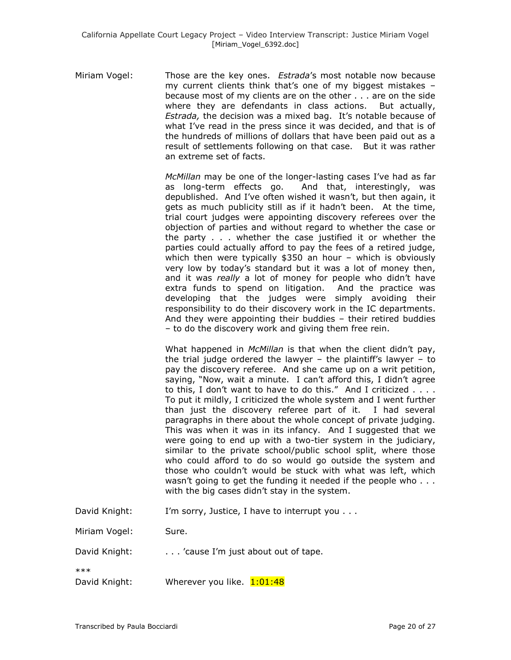Miriam Vogel: Those are the key ones. *Estrada*"s most notable now because my current clients think that"s one of my biggest mistakes – because most of my clients are on the other . . . are on the side where they are defendants in class actions. But actually, *Estrada,* the decision was a mixed bag. It"s notable because of what I've read in the press since it was decided, and that is of the hundreds of millions of dollars that have been paid out as a result of settlements following on that case. But it was rather an extreme set of facts.

> *McMillan* may be one of the longer-lasting cases I"ve had as far as long-term effects go. And that, interestingly, was depublished. And I've often wished it wasn't, but then again, it gets as much publicity still as if it hadn"t been. At the time, trial court judges were appointing discovery referees over the objection of parties and without regard to whether the case or the party . . . whether the case justified it or whether the parties could actually afford to pay the fees of a retired judge, which then were typically \$350 an hour – which is obviously very low by today"s standard but it was a lot of money then, and it was *really* a lot of money for people who didn't have extra funds to spend on litigation. And the practice was developing that the judges were simply avoiding their responsibility to do their discovery work in the IC departments. And they were appointing their buddies – their retired buddies – to do the discovery work and giving them free rein.

> What happened in *McMillan* is that when the client didn"t pay, the trial judge ordered the lawyer  $-$  the plaintiff's lawyer  $-$  to pay the discovery referee. And she came up on a writ petition, saying, "Now, wait a minute. I can't afford this, I didn't agree to this, I don"t want to have to do this." And I criticized . . . . To put it mildly, I criticized the whole system and I went further than just the discovery referee part of it. I had several paragraphs in there about the whole concept of private judging. This was when it was in its infancy. And I suggested that we were going to end up with a two-tier system in the judiciary, similar to the private school/public school split, where those who could afford to do so would go outside the system and those who couldn"t would be stuck with what was left, which wasn't going to get the funding it needed if the people who . . . with the big cases didn't stay in the system.

David Knight: I'm sorry, Justice, I have to interrupt you . . .

Miriam Vogel: Sure.

David Knight: . . . . 'cause I'm just about out of tape.

\*\*\*

David Knight: Wherever you like. 1:01:48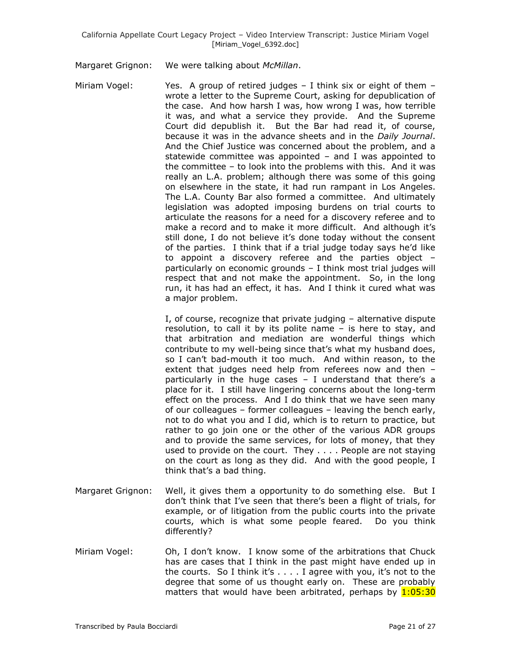Margaret Grignon: We were talking about *McMillan*.

Miriam Vogel: Yes. A group of retired judges  $-$  I think six or eight of them  $$ wrote a letter to the Supreme Court, asking for depublication of the case. And how harsh I was, how wrong I was, how terrible it was, and what a service they provide. And the Supreme Court did depublish it. But the Bar had read it, of course, because it was in the advance sheets and in the *Daily Journal*. And the Chief Justice was concerned about the problem, and a statewide committee was appointed – and I was appointed to the committee – to look into the problems with this. And it was really an L.A. problem; although there was some of this going on elsewhere in the state, it had run rampant in Los Angeles. The L.A. County Bar also formed a committee. And ultimately legislation was adopted imposing burdens on trial courts to articulate the reasons for a need for a discovery referee and to make a record and to make it more difficult. And although it's still done, I do not believe it's done today without the consent of the parties. I think that if a trial judge today says he"d like to appoint a discovery referee and the parties object – particularly on economic grounds – I think most trial judges will respect that and not make the appointment. So, in the long run, it has had an effect, it has. And I think it cured what was a major problem.

> I, of course, recognize that private judging – alternative dispute resolution, to call it by its polite name – is here to stay, and that arbitration and mediation are wonderful things which contribute to my well-being since that"s what my husband does, so I can't bad-mouth it too much. And within reason, to the extent that judges need help from referees now and then – particularly in the huge cases  $-$  I understand that there's a place for it. I still have lingering concerns about the long-term effect on the process. And I do think that we have seen many of our colleagues – former colleagues – leaving the bench early, not to do what you and I did, which is to return to practice, but rather to go join one or the other of the various ADR groups and to provide the same services, for lots of money, that they used to provide on the court. They . . . . People are not staying on the court as long as they did. And with the good people, I think that"s a bad thing.

- Margaret Grignon: Well, it gives them a opportunity to do something else. But I don"t think that I"ve seen that there"s been a flight of trials, for example, or of litigation from the public courts into the private courts, which is what some people feared. Do you think differently?
- Miriam Vogel: Oh, I don"t know. I know some of the arbitrations that Chuck has are cases that I think in the past might have ended up in the courts. So I think it's  $\dots$  I agree with you, it's not to the degree that some of us thought early on. These are probably matters that would have been arbitrated, perhaps by  $1:05:30$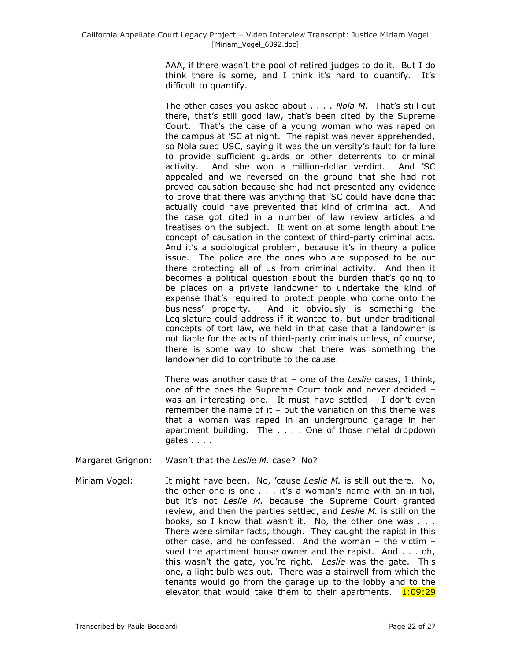AAA, if there wasn"t the pool of retired judges to do it. But I do think there is some, and I think it's hard to quantify. It's difficult to quantify.

The other cases you asked about . . . . *Nola M.* That's still out there, that"s still good law, that"s been cited by the Supreme Court. That"s the case of a young woman who was raped on the campus at "SC at night. The rapist was never apprehended, so Nola sued USC, saying it was the university's fault for failure to provide sufficient guards or other deterrents to criminal activity. And she won a million-dollar verdict. And "SC appealed and we reversed on the ground that she had not proved causation because she had not presented any evidence to prove that there was anything that "SC could have done that actually could have prevented that kind of criminal act. And the case got cited in a number of law review articles and treatises on the subject. It went on at some length about the concept of causation in the context of third-party criminal acts. And it's a sociological problem, because it's in theory a police issue. The police are the ones who are supposed to be out there protecting all of us from criminal activity. And then it becomes a political question about the burden that's going to be places on a private landowner to undertake the kind of expense that"s required to protect people who come onto the business" property. And it obviously is something the Legislature could address if it wanted to, but under traditional concepts of tort law, we held in that case that a landowner is not liable for the acts of third-party criminals unless, of course, there is some way to show that there was something the landowner did to contribute to the cause.

There was another case that – one of the *Leslie* cases, I think, one of the ones the Supreme Court took and never decided – was an interesting one. It must have settled  $-$  I don't even remember the name of it – but the variation on this theme was that a woman was raped in an underground garage in her apartment building. The . . . . One of those metal dropdown gates . . . .

- Margaret Grignon: Wasn"t that the *Leslie M.* case? No?
- Miriam Vogel: It might have been. No, 'cause Leslie M. is still out there. No, the other one is one . . . it's a woman's name with an initial, but it's not Leslie M. because the Supreme Court granted review, and then the parties settled, and *Leslie M.* is still on the books, so I know that wasn't it. No, the other one was . . . There were similar facts, though. They caught the rapist in this other case, and he confessed. And the woman – the victim – sued the apartment house owner and the rapist. And . . . oh, this wasn"t the gate, you"re right. *Leslie* was the gate. This one, a light bulb was out. There was a stairwell from which the tenants would go from the garage up to the lobby and to the elevator that would take them to their apartments.  $1:09:29$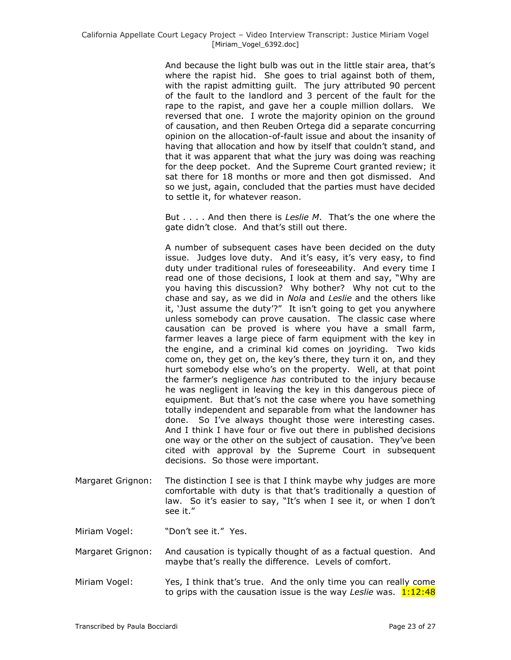And because the light bulb was out in the little stair area, that"s where the rapist hid. She goes to trial against both of them, with the rapist admitting guilt. The jury attributed 90 percent of the fault to the landlord and 3 percent of the fault for the rape to the rapist, and gave her a couple million dollars. We reversed that one. I wrote the majority opinion on the ground of causation, and then Reuben Ortega did a separate concurring opinion on the allocation-of-fault issue and about the insanity of having that allocation and how by itself that couldn't stand, and that it was apparent that what the jury was doing was reaching for the deep pocket. And the Supreme Court granted review; it sat there for 18 months or more and then got dismissed. And so we just, again, concluded that the parties must have decided to settle it, for whatever reason.

But . . . . And then there is *Leslie M*. That"s the one where the gate didn"t close. And that"s still out there.

A number of subsequent cases have been decided on the duty issue. Judges love duty. And it's easy, it's very easy, to find duty under traditional rules of foreseeability. And every time I read one of those decisions, I look at them and say, "Why are you having this discussion? Why bother? Why not cut to the chase and say, as we did in *Nola* and *Leslie* and the others like it, 'Just assume the duty'?" It isn't going to get you anywhere unless somebody can prove causation. The classic case where causation can be proved is where you have a small farm, farmer leaves a large piece of farm equipment with the key in the engine, and a criminal kid comes on joyriding. Two kids come on, they get on, the key"s there, they turn it on, and they hurt somebody else who's on the property. Well, at that point the farmer"s negligence *has* contributed to the injury because he was negligent in leaving the key in this dangerous piece of equipment. But that's not the case where you have something totally independent and separable from what the landowner has done. So I've always thought those were interesting cases. And I think I have four or five out there in published decisions one way or the other on the subject of causation. They"ve been cited with approval by the Supreme Court in subsequent decisions. So those were important.

Margaret Grignon: The distinction I see is that I think maybe why judges are more comfortable with duty is that that"s traditionally a question of law. So it's easier to say, "It's when I see it, or when I don't see it."

Miriam Vogel: "Don't see it." Yes.

- Margaret Grignon: And causation is typically thought of as a factual question. And maybe that"s really the difference. Levels of comfort.
- Miriam Vogel: Yes, I think that"s true. And the only time you can really come to grips with the causation issue is the way *Leslie* was. 1:12:48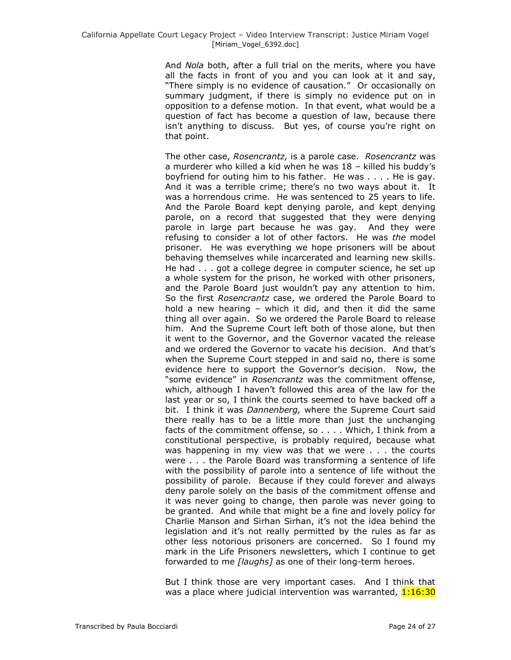And *Nola* both, after a full trial on the merits, where you have all the facts in front of you and you can look at it and say, "There simply is no evidence of causation." Or occasionally on summary judgment, if there is simply no evidence put on in opposition to a defense motion. In that event, what would be a question of fact has become a question of law, because there isn't anything to discuss. But yes, of course you're right on that point.

The other case, *Rosencrantz,* is a parole case. *Rosencrantz* was a murderer who killed a kid when he was 18 – killed his buddy"s boyfriend for outing him to his father. He was . . . . He is gay. And it was a terrible crime; there"s no two ways about it. It was a horrendous crime. He was sentenced to 25 years to life. And the Parole Board kept denying parole, and kept denying parole, on a record that suggested that they were denying parole in large part because he was gay. And they were refusing to consider a lot of other factors. He was *the* model prisoner. He was everything we hope prisoners will be about behaving themselves while incarcerated and learning new skills. He had . . . got a college degree in computer science, he set up a whole system for the prison, he worked with other prisoners, and the Parole Board just wouldn"t pay any attention to him. So the first *Rosencrantz* case, we ordered the Parole Board to hold a new hearing – which it did, and then it did the same thing all over again. So we ordered the Parole Board to release him. And the Supreme Court left both of those alone, but then it went to the Governor, and the Governor vacated the release and we ordered the Governor to vacate his decision. And that's when the Supreme Court stepped in and said no, there is some evidence here to support the Governor"s decision. Now, the "some evidence" in *Rosencrantz* was the commitment offense, which, although I haven't followed this area of the law for the last year or so, I think the courts seemed to have backed off a bit. I think it was *Dannenberg,* where the Supreme Court said there really has to be a little more than just the unchanging facts of the commitment offense, so . . . . Which, I think from a constitutional perspective, is probably required, because what was happening in my view was that we were . . . the courts were . . . the Parole Board was transforming a sentence of life with the possibility of parole into a sentence of life without the possibility of parole. Because if they could forever and always deny parole solely on the basis of the commitment offense and it was never going to change, then parole was never going to be granted. And while that might be a fine and lovely policy for Charlie Manson and Sirhan Sirhan, it"s not the idea behind the legislation and it's not really permitted by the rules as far as other less notorious prisoners are concerned. So I found my mark in the Life Prisoners newsletters, which I continue to get forwarded to me *[laughs]* as one of their long-term heroes.

But I think those are very important cases. And I think that was a place where judicial intervention was warranted, 1:16:30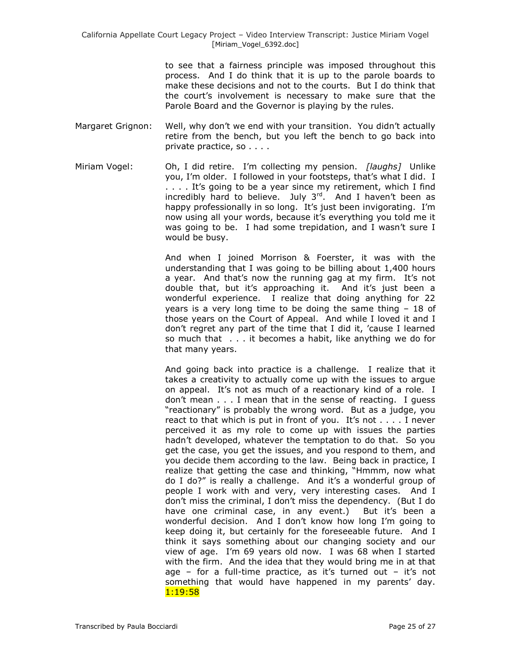to see that a fairness principle was imposed throughout this process. And I do think that it is up to the parole boards to make these decisions and not to the courts. But I do think that the court's involvement is necessary to make sure that the Parole Board and the Governor is playing by the rules.

- Margaret Grignon: Well, why don't we end with your transition. You didn't actually retire from the bench, but you left the bench to go back into private practice, so . . . .
- Miriam Vogel: Oh, I did retire. I"m collecting my pension. *[laughs]* Unlike you, I'm older. I followed in your footsteps, that's what I did. I .... It's going to be a year since my retirement, which I find incredibly hard to believe. July  $3^{rd}$ . And I haven't been as happy professionally in so long. It's just been invigorating. I'm now using all your words, because it's everything you told me it was going to be. I had some trepidation, and I wasn't sure I would be busy.

And when I joined Morrison & Foerster, it was with the understanding that I was going to be billing about 1,400 hours a year. And that's now the running gag at my firm. It's not double that, but it's approaching it. And it's just been a wonderful experience. I realize that doing anything for 22 years is a very long time to be doing the same thing – 18 of those years on the Court of Appeal. And while I loved it and I don"t regret any part of the time that I did it, "cause I learned so much that . . . it becomes a habit, like anything we do for that many years.

And going back into practice is a challenge. I realize that it takes a creativity to actually come up with the issues to argue on appeal. It's not as much of a reactionary kind of a role. I don"t mean . . . I mean that in the sense of reacting. I guess "reactionary" is probably the wrong word. But as a judge, you react to that which is put in front of you. It's not  $\dots$ . I never perceived it as my role to come up with issues the parties hadn"t developed, whatever the temptation to do that. So you get the case, you get the issues, and you respond to them, and you decide them according to the law. Being back in practice, I realize that getting the case and thinking, "Hmmm, now what do I do?" is really a challenge. And it"s a wonderful group of people I work with and very, very interesting cases. And I don"t miss the criminal, I don"t miss the dependency. (But I do have one criminal case, in any event.) But it's been a wonderful decision. And I don't know how long I'm going to keep doing it, but certainly for the foreseeable future. And I think it says something about our changing society and our view of age. I"m 69 years old now. I was 68 when I started with the firm. And the idea that they would bring me in at that age – for a full-time practice, as it's turned out – it's not something that would have happened in my parents' day. 1:19:58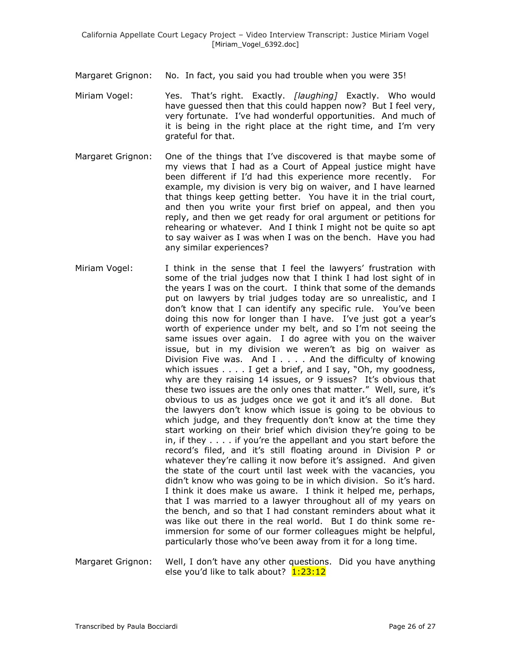- Margaret Grignon: No. In fact, you said you had trouble when you were 35!
- Miriam Vogel: Yes. That"s right. Exactly. *[laughing]* Exactly. Who would have guessed then that this could happen now? But I feel very, very fortunate. I"ve had wonderful opportunities. And much of it is being in the right place at the right time, and I"m very grateful for that.
- Margaret Grignon: One of the things that I"ve discovered is that maybe some of my views that I had as a Court of Appeal justice might have been different if I"d had this experience more recently. For example, my division is very big on waiver, and I have learned that things keep getting better. You have it in the trial court, and then you write your first brief on appeal, and then you reply, and then we get ready for oral argument or petitions for rehearing or whatever. And I think I might not be quite so apt to say waiver as I was when I was on the bench. Have you had any similar experiences?
- Miriam Vogel: I think in the sense that I feel the lawyers" frustration with some of the trial judges now that I think I had lost sight of in the years I was on the court. I think that some of the demands put on lawyers by trial judges today are so unrealistic, and I don"t know that I can identify any specific rule. You"ve been doing this now for longer than I have. I"ve just got a year"s worth of experience under my belt, and so I"m not seeing the same issues over again. I do agree with you on the waiver issue, but in my division we weren't as big on waiver as Division Five was. And I . . . . And the difficulty of knowing which issues . . . . I get a brief, and I say, "Oh, my goodness, why are they raising 14 issues, or 9 issues? It's obvious that these two issues are the only ones that matter." Well, sure, it"s obvious to us as judges once we got it and it's all done. But the lawyers don"t know which issue is going to be obvious to which judge, and they frequently don't know at the time they start working on their brief which division they"re going to be in, if they . . . . if you"re the appellant and you start before the record's filed, and it's still floating around in Division P or whatever they're calling it now before it's assigned. And given the state of the court until last week with the vacancies, you didn't know who was going to be in which division. So it's hard. I think it does make us aware. I think it helped me, perhaps, that I was married to a lawyer throughout all of my years on the bench, and so that I had constant reminders about what it was like out there in the real world. But I do think some reimmersion for some of our former colleagues might be helpful, particularly those who"ve been away from it for a long time.
- Margaret Grignon: Well, I don"t have any other questions. Did you have anything else you'd like to talk about? 1:23:12